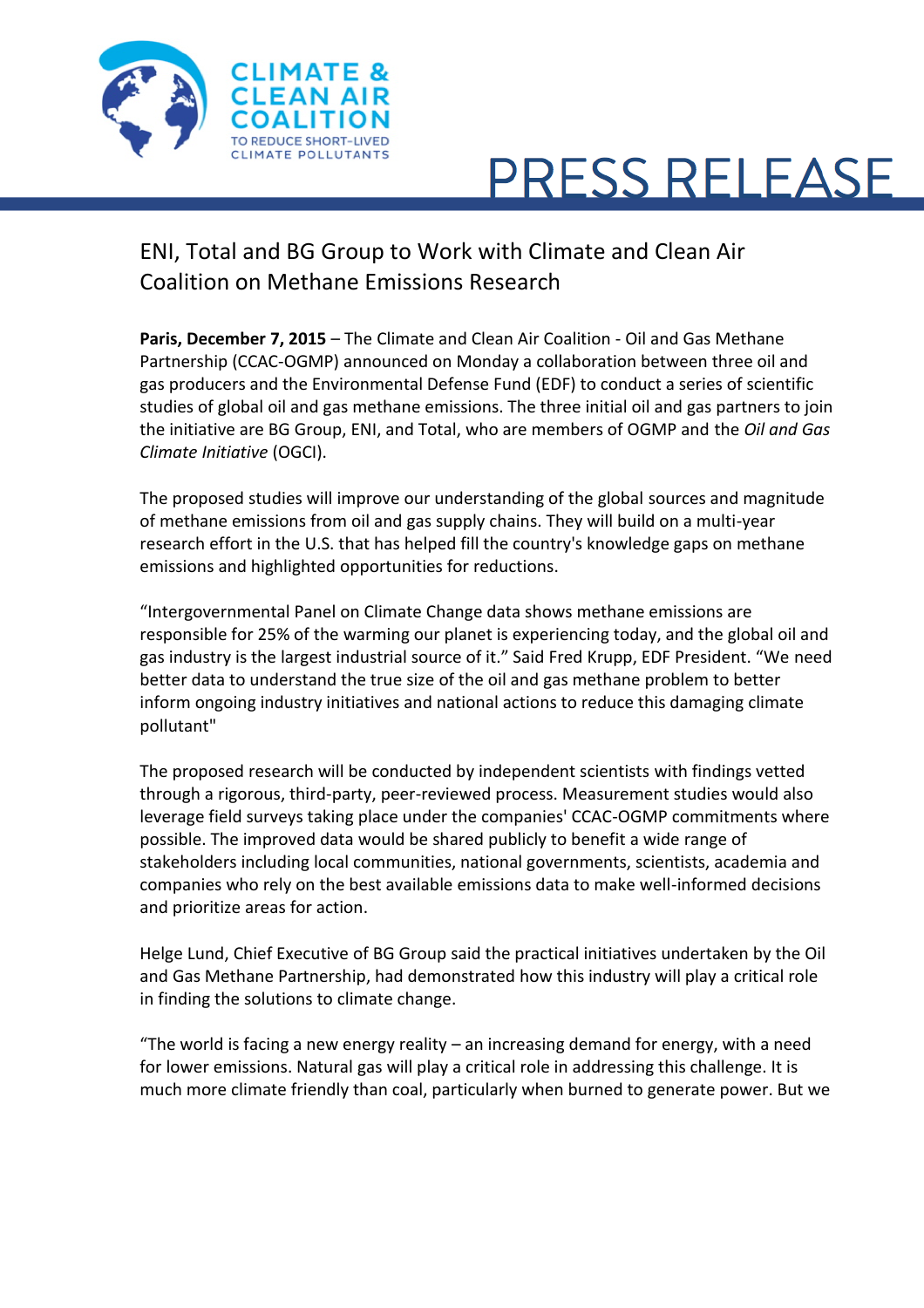

## **PRESS RELEASE**

## ENI, Total and BG Group to Work with Climate and Clean Air Coalition on Methane Emissions Research

**Paris, December 7, 2015** – The Climate and Clean Air Coalition - Oil and Gas Methane Partnership (CCAC-OGMP) announced on Monday a collaboration between three oil and gas producers and the Environmental Defense Fund (EDF) to conduct a series of scientific studies of global oil and gas methane emissions. The three initial oil and gas partners to join the initiative are BG Group, ENI, and Total, who are members of OGMP and the *Oil and Gas Climate Initiative* (OGCI).

The proposed studies will improve our understanding of the global sources and magnitude of methane emissions from oil and gas supply chains. They will build on a multi-year research effort in the U.S. that has helped fill the country's knowledge gaps on methane emissions and highlighted opportunities for reductions.

"Intergovernmental Panel on Climate Change data shows methane emissions are responsible for 25% of the warming our planet is experiencing today, and the global oil and gas industry is the largest industrial source of it." Said Fred Krupp, EDF President. "We need better data to understand the true size of the oil and gas methane problem to better inform ongoing industry initiatives and national actions to reduce this damaging climate pollutant"

The proposed research will be conducted by independent scientists with findings vetted through a rigorous, third-party, peer-reviewed process. Measurement studies would also leverage field surveys taking place under the companies' CCAC-OGMP commitments where possible. The improved data would be shared publicly to benefit a wide range of stakeholders including local communities, national governments, scientists, academia and companies who rely on the best available emissions data to make well-informed decisions and prioritize areas for action.

Helge Lund, Chief Executive of BG Group said the practical initiatives undertaken by the Oil and Gas Methane Partnership, had demonstrated how this industry will play a critical role in finding the solutions to climate change.

"The world is facing a new energy reality – an increasing demand for energy, with a need for lower emissions. Natural gas will play a critical role in addressing this challenge. It is much more climate friendly than coal, particularly when burned to generate power. But we